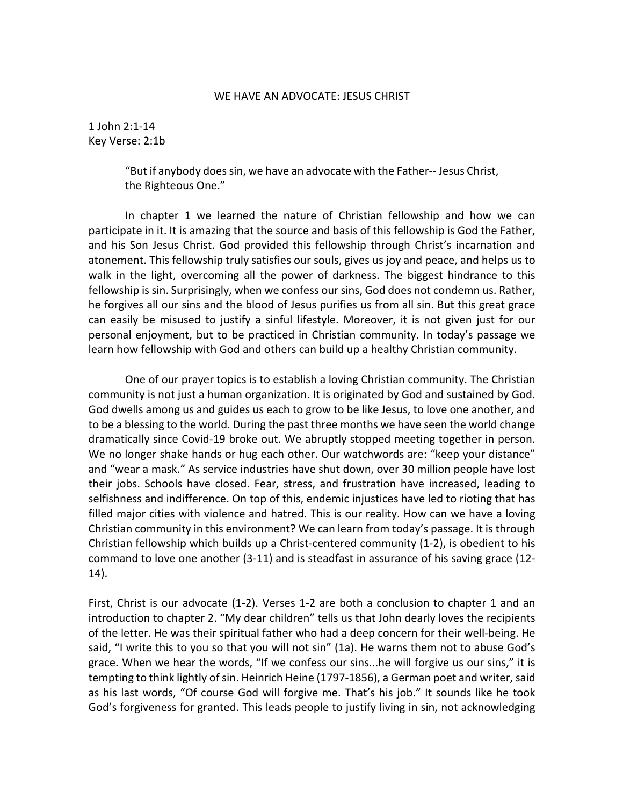## WE HAVE AN ADVOCATE: JESUS CHRIST

1 John 2:1-14 Key Verse: 2:1b

> "But if anybody does sin, we have an advocate with the Father-- Jesus Christ, the Righteous One."

In chapter 1 we learned the nature of Christian fellowship and how we can participate in it. It is amazing that the source and basis of this fellowship is God the Father, and his Son Jesus Christ. God provided this fellowship through Christ's incarnation and atonement. This fellowship truly satisfies our souls, gives us joy and peace, and helps us to walk in the light, overcoming all the power of darkness. The biggest hindrance to this fellowship is sin. Surprisingly, when we confess our sins, God does not condemn us. Rather, he forgives all our sins and the blood of Jesus purifies us from all sin. But this great grace can easily be misused to justify a sinful lifestyle. Moreover, it is not given just for our personal enjoyment, but to be practiced in Christian community. In today's passage we learn how fellowship with God and others can build up a healthy Christian community.

One of our prayer topics is to establish a loving Christian community. The Christian community is not just a human organization. It is originated by God and sustained by God. God dwells among us and guides us each to grow to be like Jesus, to love one another, and to be a blessing to the world. During the past three months we have seen the world change dramatically since Covid-19 broke out. We abruptly stopped meeting together in person. We no longer shake hands or hug each other. Our watchwords are: "keep your distance" and "wear a mask." As service industries have shut down, over 30 million people have lost their jobs. Schools have closed. Fear, stress, and frustration have increased, leading to selfishness and indifference. On top of this, endemic injustices have led to rioting that has filled major cities with violence and hatred. This is our reality. How can we have a loving Christian community in this environment? We can learn from today's passage. It is through Christian fellowship which builds up a Christ-centered community (1-2), is obedient to his command to love one another (3-11) and is steadfast in assurance of his saving grace (12- 14).

First, Christ is our advocate (1-2). Verses 1-2 are both a conclusion to chapter 1 and an introduction to chapter 2. "My dear children" tells us that John dearly loves the recipients of the letter. He was their spiritual father who had a deep concern for their well-being. He said, "I write this to you so that you will not sin" (1a). He warns them not to abuse God's grace. When we hear the words, "If we confess our sins...he will forgive us our sins," it is tempting to think lightly of sin. Heinrich Heine (1797-1856), a German poet and writer, said as his last words, "Of course God will forgive me. That's his job." It sounds like he took God's forgiveness for granted. This leads people to justify living in sin, not acknowledging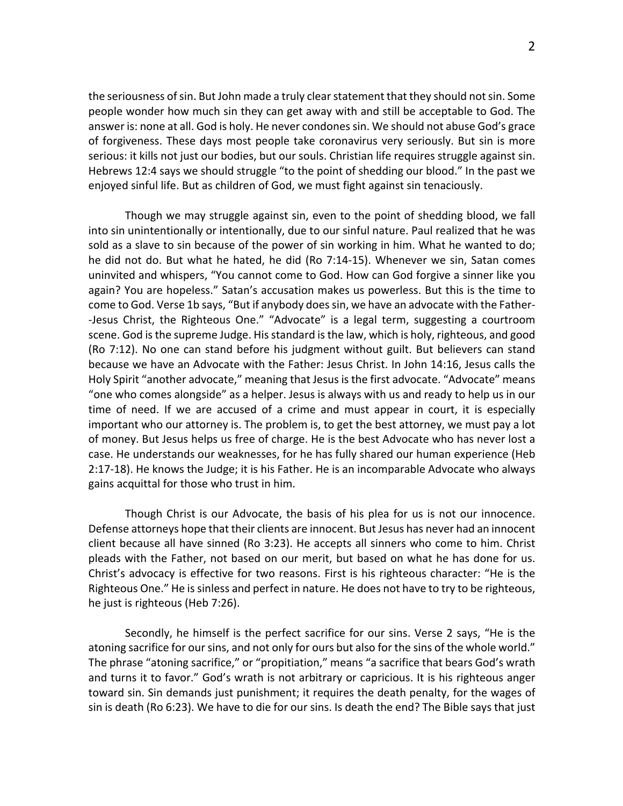the seriousness of sin. But John made a truly clearstatement that they should not sin. Some people wonder how much sin they can get away with and still be acceptable to God. The answer is: none at all. God is holy. He never condones sin. We should not abuse God's grace of forgiveness. These days most people take coronavirus very seriously. But sin is more serious: it kills not just our bodies, but our souls. Christian life requires struggle against sin. Hebrews 12:4 says we should struggle "to the point of shedding our blood." In the past we enjoyed sinful life. But as children of God, we must fight against sin tenaciously.

Though we may struggle against sin, even to the point of shedding blood, we fall into sin unintentionally or intentionally, due to our sinful nature. Paul realized that he was sold as a slave to sin because of the power of sin working in him. What he wanted to do; he did not do. But what he hated, he did (Ro 7:14-15). Whenever we sin, Satan comes uninvited and whispers, "You cannot come to God. How can God forgive a sinner like you again? You are hopeless." Satan's accusation makes us powerless. But this is the time to come to God. Verse 1b says, "But if anybody does sin, we have an advocate with the Father- -Jesus Christ, the Righteous One." "Advocate" is a legal term, suggesting a courtroom scene. God is the supreme Judge. His standard is the law, which is holy, righteous, and good (Ro 7:12). No one can stand before his judgment without guilt. But believers can stand because we have an Advocate with the Father: Jesus Christ. In John 14:16, Jesus calls the Holy Spirit "another advocate," meaning that Jesus is the first advocate. "Advocate" means "one who comes alongside" as a helper. Jesus is always with us and ready to help us in our time of need. If we are accused of a crime and must appear in court, it is especially important who our attorney is. The problem is, to get the best attorney, we must pay a lot of money. But Jesus helps us free of charge. He is the best Advocate who has never lost a case. He understands our weaknesses, for he has fully shared our human experience (Heb 2:17-18). He knows the Judge; it is his Father. He is an incomparable Advocate who always gains acquittal for those who trust in him.

Though Christ is our Advocate, the basis of his plea for us is not our innocence. Defense attorneys hope that their clients are innocent. But Jesus has never had an innocent client because all have sinned (Ro 3:23). He accepts all sinners who come to him. Christ pleads with the Father, not based on our merit, but based on what he has done for us. Christ's advocacy is effective for two reasons. First is his righteous character: "He is the Righteous One." He is sinless and perfect in nature. He does not have to try to be righteous, he just is righteous (Heb 7:26).

Secondly, he himself is the perfect sacrifice for our sins. Verse 2 says, "He is the atoning sacrifice for our sins, and not only for ours but also for the sins of the whole world." The phrase "atoning sacrifice," or "propitiation," means "a sacrifice that bears God's wrath and turns it to favor." God's wrath is not arbitrary or capricious. It is his righteous anger toward sin. Sin demands just punishment; it requires the death penalty, for the wages of sin is death (Ro 6:23). We have to die for our sins. Is death the end? The Bible says that just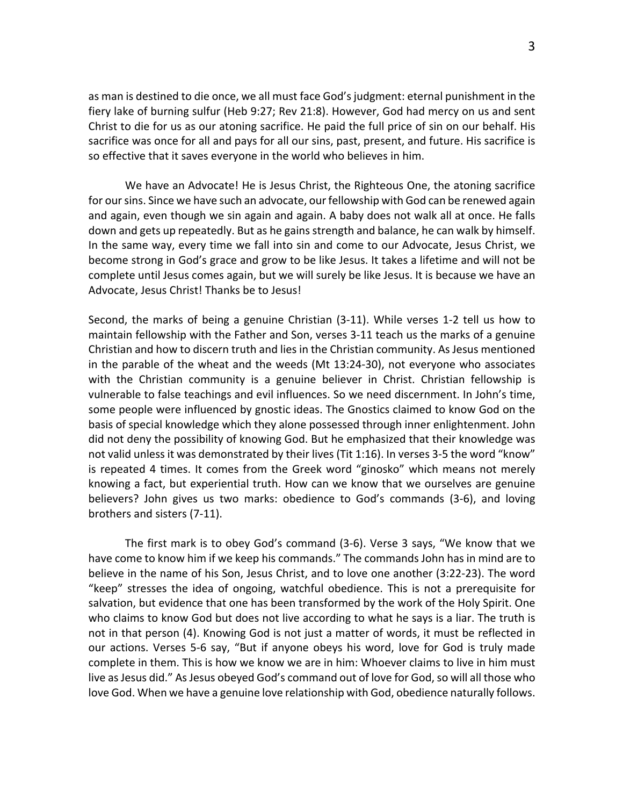as man is destined to die once, we all must face God's judgment: eternal punishment in the fiery lake of burning sulfur (Heb 9:27; Rev 21:8). However, God had mercy on us and sent Christ to die for us as our atoning sacrifice. He paid the full price of sin on our behalf. His sacrifice was once for all and pays for all our sins, past, present, and future. His sacrifice is so effective that it saves everyone in the world who believes in him.

We have an Advocate! He is Jesus Christ, the Righteous One, the atoning sacrifice for our sins. Since we have such an advocate, our fellowship with God can be renewed again and again, even though we sin again and again. A baby does not walk all at once. He falls down and gets up repeatedly. But as he gains strength and balance, he can walk by himself. In the same way, every time we fall into sin and come to our Advocate, Jesus Christ, we become strong in God's grace and grow to be like Jesus. It takes a lifetime and will not be complete until Jesus comes again, but we will surely be like Jesus. It is because we have an Advocate, Jesus Christ! Thanks be to Jesus!

Second, the marks of being a genuine Christian (3-11). While verses 1-2 tell us how to maintain fellowship with the Father and Son, verses 3-11 teach us the marks of a genuine Christian and how to discern truth and lies in the Christian community. As Jesus mentioned in the parable of the wheat and the weeds (Mt 13:24-30), not everyone who associates with the Christian community is a genuine believer in Christ. Christian fellowship is vulnerable to false teachings and evil influences. So we need discernment. In John's time, some people were influenced by gnostic ideas. The Gnostics claimed to know God on the basis of special knowledge which they alone possessed through inner enlightenment. John did not deny the possibility of knowing God. But he emphasized that their knowledge was not valid unless it was demonstrated by their lives (Tit 1:16). In verses 3-5 the word "know" is repeated 4 times. It comes from the Greek word "ginosko" which means not merely knowing a fact, but experiential truth. How can we know that we ourselves are genuine believers? John gives us two marks: obedience to God's commands (3-6), and loving brothers and sisters (7-11).

The first mark is to obey God's command (3-6). Verse 3 says, "We know that we have come to know him if we keep his commands." The commands John has in mind are to believe in the name of his Son, Jesus Christ, and to love one another (3:22-23). The word "keep" stresses the idea of ongoing, watchful obedience. This is not a prerequisite for salvation, but evidence that one has been transformed by the work of the Holy Spirit. One who claims to know God but does not live according to what he says is a liar. The truth is not in that person (4). Knowing God is not just a matter of words, it must be reflected in our actions. Verses 5-6 say, "But if anyone obeys his word, love for God is truly made complete in them. This is how we know we are in him: Whoever claims to live in him must live as Jesus did." As Jesus obeyed God's command out of love for God, so will all those who love God. When we have a genuine love relationship with God, obedience naturally follows.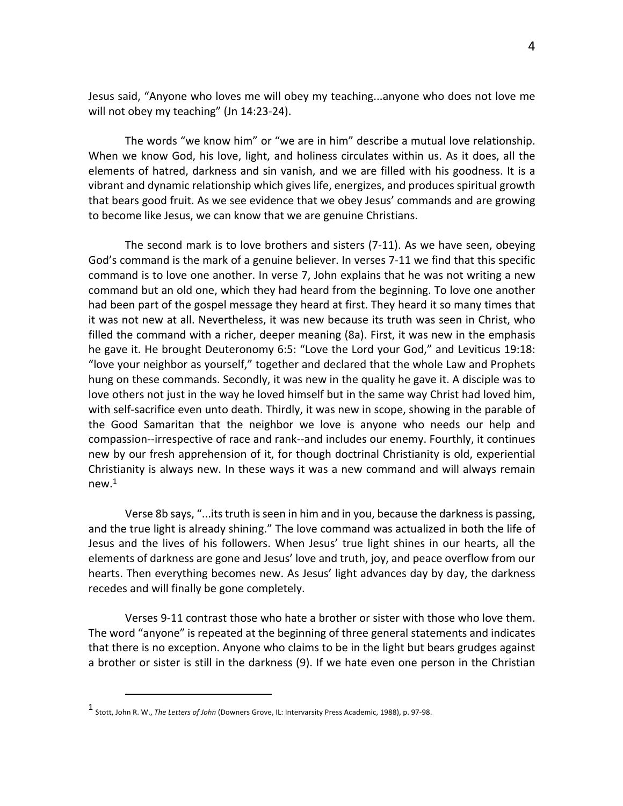Jesus said, "Anyone who loves me will obey my teaching...anyone who does not love me will not obey my teaching" (Jn 14:23-24).

The words "we know him" or "we are in him" describe a mutual love relationship. When we know God, his love, light, and holiness circulates within us. As it does, all the elements of hatred, darkness and sin vanish, and we are filled with his goodness. It is a vibrant and dynamic relationship which gives life, energizes, and produces spiritual growth that bears good fruit. As we see evidence that we obey Jesus' commands and are growing to become like Jesus, we can know that we are genuine Christians.

The second mark is to love brothers and sisters (7-11). As we have seen, obeying God's command is the mark of a genuine believer. In verses 7-11 we find that this specific command is to love one another. In verse 7, John explains that he was not writing a new command but an old one, which they had heard from the beginning. To love one another had been part of the gospel message they heard at first. They heard it so many times that it was not new at all. Nevertheless, it was new because its truth was seen in Christ, who filled the command with a richer, deeper meaning (8a). First, it was new in the emphasis he gave it. He brought Deuteronomy 6:5: "Love the Lord your God," and Leviticus 19:18: "love your neighbor as yourself," together and declared that the whole Law and Prophets hung on these commands. Secondly, it was new in the quality he gave it. A disciple was to love others not just in the way he loved himself but in the same way Christ had loved him, with self-sacrifice even unto death. Thirdly, it was new in scope, showing in the parable of the Good Samaritan that the neighbor we love is anyone who needs our help and compassion--irrespective of race and rank--and includes our enemy. Fourthly, it continues new by our fresh apprehension of it, for though doctrinal Christianity is old, experiential Christianity is always new. In these ways it was a new command and will always remain new.1

Verse 8b says, "...its truth is seen in him and in you, because the darkness is passing, and the true light is already shining." The love command was actualized in both the life of Jesus and the lives of his followers. When Jesus' true light shines in our hearts, all the elements of darkness are gone and Jesus' love and truth, joy, and peace overflow from our hearts. Then everything becomes new. As Jesus' light advances day by day, the darkness recedes and will finally be gone completely.

Verses 9-11 contrast those who hate a brother or sister with those who love them. The word "anyone" is repeated at the beginning of three general statements and indicates that there is no exception. Anyone who claims to be in the light but bears grudges against a brother or sister is still in the darkness (9). If we hate even one person in the Christian

<sup>1</sup> Stott, John R. W., *The Letters of John* (Downers Grove, IL: Intervarsity Press Academic, 1988), p. 97-98.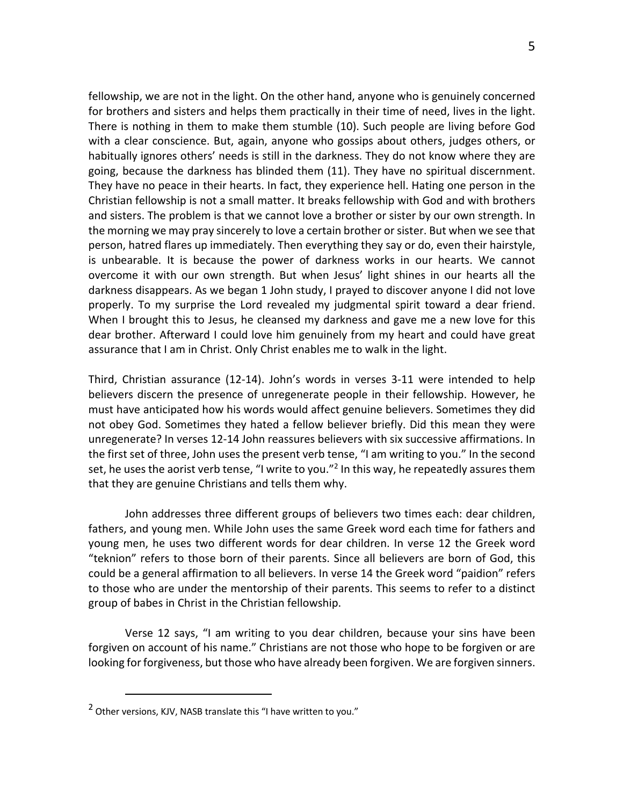fellowship, we are not in the light. On the other hand, anyone who is genuinely concerned for brothers and sisters and helps them practically in their time of need, lives in the light. There is nothing in them to make them stumble (10). Such people are living before God with a clear conscience. But, again, anyone who gossips about others, judges others, or habitually ignores others' needs is still in the darkness. They do not know where they are going, because the darkness has blinded them (11). They have no spiritual discernment. They have no peace in their hearts. In fact, they experience hell. Hating one person in the Christian fellowship is not a small matter. It breaks fellowship with God and with brothers and sisters. The problem is that we cannot love a brother or sister by our own strength. In the morning we may pray sincerely to love a certain brother or sister. But when we see that person, hatred flares up immediately. Then everything they say or do, even their hairstyle, is unbearable. It is because the power of darkness works in our hearts. We cannot overcome it with our own strength. But when Jesus' light shines in our hearts all the darkness disappears. As we began 1 John study, I prayed to discover anyone I did not love properly. To my surprise the Lord revealed my judgmental spirit toward a dear friend. When I brought this to Jesus, he cleansed my darkness and gave me a new love for this dear brother. Afterward I could love him genuinely from my heart and could have great assurance that I am in Christ. Only Christ enables me to walk in the light.

Third, Christian assurance (12-14). John's words in verses 3-11 were intended to help believers discern the presence of unregenerate people in their fellowship. However, he must have anticipated how his words would affect genuine believers. Sometimes they did not obey God. Sometimes they hated a fellow believer briefly. Did this mean they were unregenerate? In verses 12-14 John reassures believers with six successive affirmations. In the first set of three, John uses the present verb tense, "I am writing to you." In the second set, he uses the aorist verb tense, "I write to you."<sup>2</sup> In this way, he repeatedly assures them that they are genuine Christians and tells them why.

John addresses three different groups of believers two times each: dear children, fathers, and young men. While John uses the same Greek word each time for fathers and young men, he uses two different words for dear children. In verse 12 the Greek word "teknion" refers to those born of their parents. Since all believers are born of God, this could be a general affirmation to all believers. In verse 14 the Greek word "paidion" refers to those who are under the mentorship of their parents. This seems to refer to a distinct group of babes in Christ in the Christian fellowship.

Verse 12 says, "I am writing to you dear children, because your sins have been forgiven on account of his name." Christians are not those who hope to be forgiven or are looking for forgiveness, but those who have already been forgiven. We are forgiven sinners.

 $2$  Other versions, KJV, NASB translate this "I have written to you."